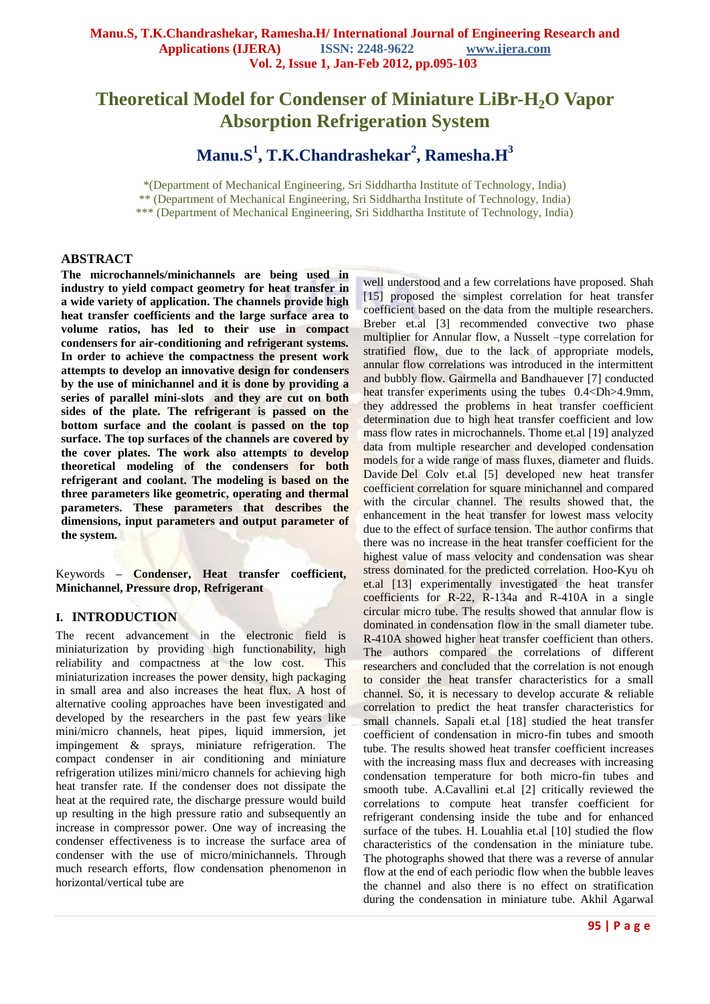# **Theoretical Model for Condenser of Miniature LiBr-H2O Vapor Absorption Refrigeration System**

**Manu.S<sup>1</sup> , T.K.Chandrashekar<sup>2</sup> , Ramesha.H<sup>3</sup>**

\*(Department of Mechanical Engineering, Sri Siddhartha Institute of Technology, India) \*\* (Department of Mechanical Engineering, Sri Siddhartha Institute of Technology, India) \*\*\* (Department of Mechanical Engineering, Sri Siddhartha Institute of Technology, India)

# **ABSTRACT**

**The microchannels/minichannels are being used in industry to yield compact geometry for heat transfer in a wide variety of application. The channels provide high heat transfer coefficients and the large surface area to volume ratios, has led to their use in compact condensers for air-conditioning and refrigerant systems. In order to achieve the compactness the present work attempts to develop an innovative design for condensers by the use of minichannel and it is done by providing a series of parallel mini-slots and they are cut on both sides of the plate. The refrigerant is passed on the bottom surface and the coolant is passed on the top surface. The top surfaces of the channels are covered by the cover plates. The work also attempts to develop theoretical modeling of the condensers for both refrigerant and coolant. The modeling is based on the three parameters like geometric, operating and thermal parameters. These parameters that describes the dimensions, input parameters and output parameter of the system.**

Keywords **– Condenser, Heat transfer coefficient, Minichannel, Pressure drop, Refrigerant**

# **I. INTRODUCTION**

The recent advancement in the electronic field is miniaturization by providing high functionability, high reliability and compactness at the low cost. This miniaturization increases the power density, high packaging in small area and also increases the heat flux. A host of alternative cooling approaches have been investigated and developed by the researchers in the past few years like mini/micro channels, heat pipes, liquid immersion, jet impingement & sprays, miniature refrigeration. The compact condenser in air conditioning and miniature refrigeration utilizes mini/micro channels for achieving high heat transfer rate. If the condenser does not dissipate the heat at the required rate, the discharge pressure would build up resulting in the high pressure ratio and subsequently an increase in compressor power. One way of increasing the condenser effectiveness is to increase the surface area of condenser with the use of micro/minichannels. Through much research efforts, flow condensation phenomenon in horizontal/vertical tube are

well understood and a few correlations have proposed. Shah [15] proposed the simplest correlation for heat transfer coefficient based on the data from the multiple researchers. Breber et.al [3] recommended convective two phase multiplier for Annular flow, a Nusselt –type correlation for stratified flow, due to the lack of appropriate models, annular flow correlations was introduced in the intermittent and bubbly flow. Gairmella and Bandhauever [7] conducted heat transfer experiments using the tubes 0.4<Dh>4.9mm, they addressed the problems in heat transfer coefficient determination due to high heat transfer coefficient and low mass flow rates in microchannels. Thome et.al [19] analyzed data from multiple researcher and developed condensation models for a wide range of mass fluxes, diameter and fluids. Davide Del Colv et.al [5] developed new heat transfer coefficient correlation for square minichannel and compared with the circular channel. The results showed that, the enhancement in the heat transfer for lowest mass velocity due to the effect of surface tension. The author confirms that there was no increase in the heat transfer coefficient for the highest value of mass velocity and condensation was shear stress dominated for the predicted correlation. Hoo-Kyu oh et.al [13] experimentally investigated the heat transfer coefficients for R-22, R-134a and R-410A in a single circular micro tube. The results showed that annular flow is dominated in condensation flow in the small diameter tube. R-410A showed higher heat transfer coefficient than others. The authors compared the correlations of different researchers and concluded that the correlation is not enough to consider the heat transfer characteristics for a small channel. So, it is necessary to develop accurate & reliable correlation to predict the heat transfer characteristics for small channels. Sapali et.al [18] studied the heat transfer coefficient of condensation in micro-fin tubes and smooth tube. The results showed heat transfer coefficient increases with the increasing mass flux and decreases with increasing condensation temperature for both micro-fin tubes and smooth tube. A.Cavallini et.al [2] critically reviewed the correlations to compute heat transfer coefficient for refrigerant condensing inside the tube and for enhanced surface of the tubes. H. Louahlia et.al [10] studied the flow characteristics of the condensation in the miniature tube. The photographs showed that there was a reverse of annular flow at the end of each periodic flow when the bubble leaves the channel and also there is no effect on stratification during the condensation in miniature tube. Akhil Agarwal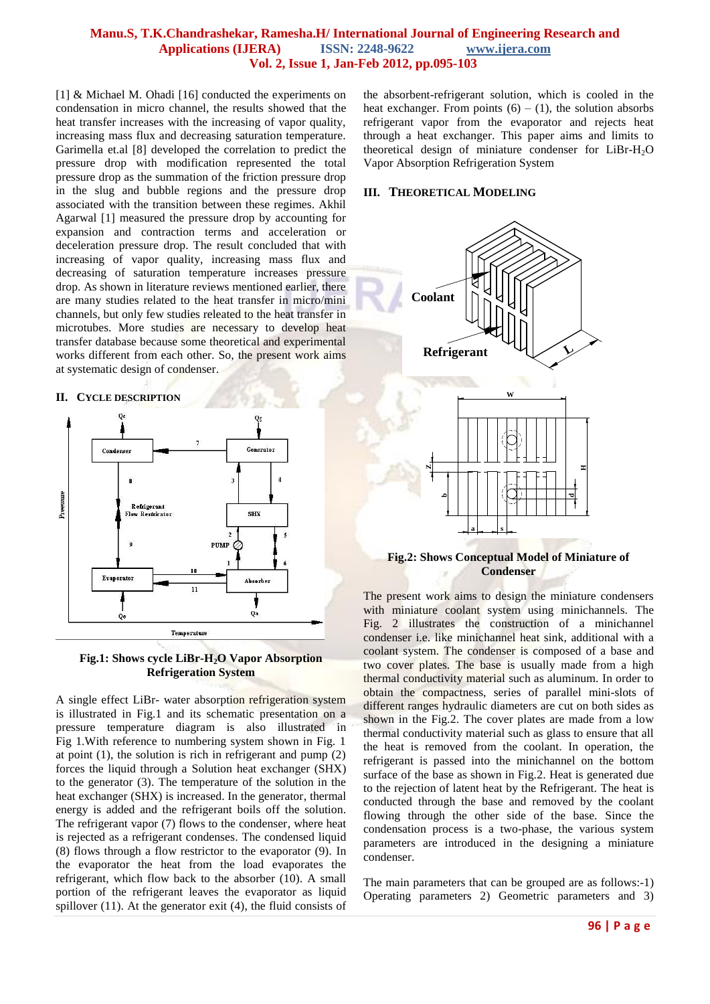[1] & Michael M. Ohadi [16] conducted the experiments on condensation in micro channel, the results showed that the heat transfer increases with the increasing of vapor quality, increasing mass flux and decreasing saturation temperature. Garimella et.al [8] developed the correlation to predict the pressure drop with modification represented the total pressure drop as the summation of the friction pressure drop in the slug and bubble regions and the pressure drop associated with the transition between these regimes. Akhil Agarwal [1] measured the pressure drop by accounting for expansion and contraction terms and acceleration or deceleration pressure drop. The result concluded that with increasing of vapor quality, increasing mass flux and decreasing of saturation temperature increases pressure drop. As shown in literature reviews mentioned earlier, there are many studies related to the heat transfer in micro/mini channels, but only few studies releated to the heat transfer in microtubes. More studies are necessary to develop heat transfer database because some theoretical and experimental works different from each other. So, the present work aims at systematic design of condenser.

### **II. CYCLE DESCRIPTION**



### **Fig.1: Shows cycle LiBr-H2O Vapor Absorption Refrigeration System**

A single effect LiBr- water absorption refrigeration system is illustrated in Fig.1 and its schematic presentation on a pressure temperature diagram is also illustrated in Fig 1.With reference to numbering system shown in Fig. 1 at point  $(1)$ , the solution is rich in refrigerant and pump  $(2)$ forces the liquid through a Solution heat exchanger (SHX) to the generator (3). The temperature of the solution in the heat exchanger (SHX) is increased. In the generator, thermal energy is added and the refrigerant boils off the solution. The refrigerant vapor (7) flows to the condenser, where heat is rejected as a refrigerant condenses. The condensed liquid (8) flows through a flow restrictor to the evaporator (9). In the evaporator the heat from the load evaporates the refrigerant, which flow back to the absorber (10). A small portion of the refrigerant leaves the evaporator as liquid spillover (11). At the generator exit (4), the fluid consists of

the absorbent-refrigerant solution, which is cooled in the heat exchanger. From points  $(6) - (1)$ , the solution absorbs refrigerant vapor from the evaporator and rejects heat through a heat exchanger. This paper aims and limits to theoretical design of miniature condenser for  $LiBr-H<sub>2</sub>O$ Vapor Absorption Refrigeration System

# **III. THEORETICAL MODELING**



**Fig.2: Shows Conceptual Model of Miniature of Condenser**

The present work aims to design the miniature condensers with miniature coolant system using minichannels. The Fig. 2 illustrates the construction of a minichannel condenser i.e. like minichannel heat sink, additional with a coolant system. The condenser is composed of a base and two cover plates. The base is usually made from a high thermal conductivity material such as aluminum. In order to obtain the compactness, series of parallel mini-slots of different ranges hydraulic diameters are cut on both sides as shown in the Fig.2. The cover plates are made from a low thermal conductivity material such as glass to ensure that all the heat is removed from the coolant. In operation, the refrigerant is passed into the minichannel on the bottom surface of the base as shown in Fig.2. Heat is generated due to the rejection of latent heat by the Refrigerant. The heat is conducted through the base and removed by the coolant flowing through the other side of the base. Since the condensation process is a two-phase, the various system parameters are introduced in the designing a miniature condenser.

The main parameters that can be grouped are as follows:-1) Operating parameters 2) Geometric parameters and 3)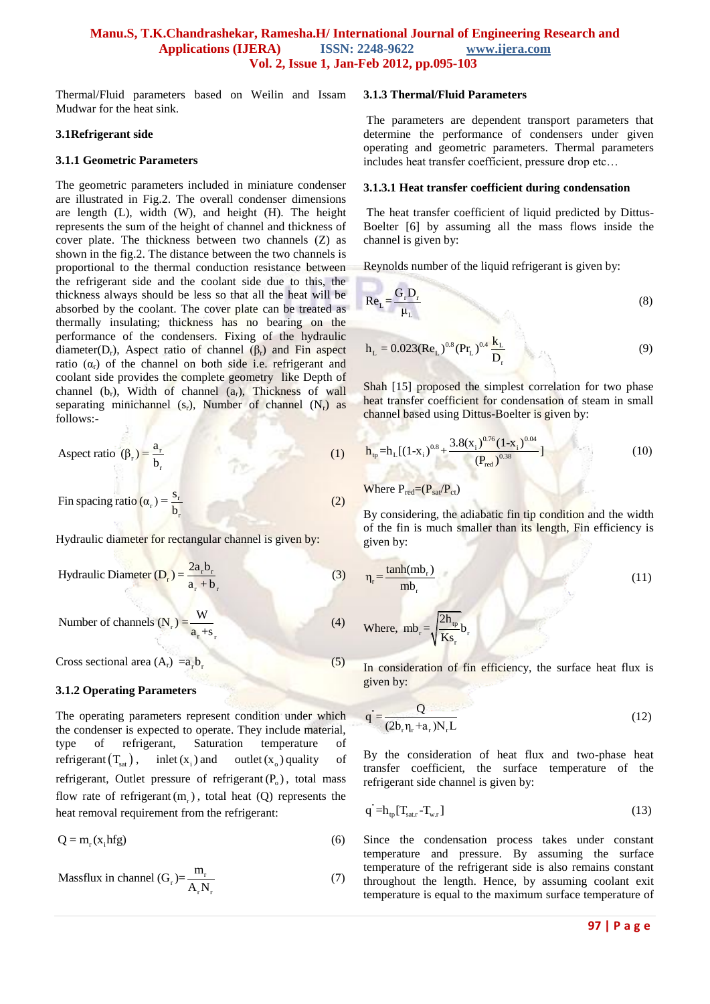Thermal/Fluid parameters based on Weilin and Issam Mudwar for the heat sink.

#### **3.1Refrigerant side**

#### **3.1.1 Geometric Parameters**

The geometric parameters included in miniature condenser are illustrated in Fig.2. The overall condenser dimensions are length (L), width (W), and height (H). The height represents the sum of the height of channel and thickness of cover plate. The thickness between two channels (Z) as shown in the fig.2. The distance between the two channels is proportional to the thermal conduction resistance between the refrigerant side and the coolant side due to this, the thickness always should be less so that all the heat will be absorbed by the coolant. The cover plate can be treated as thermally insulating; thickness has no bearing on the performance of the condensers. Fixing of the hydraulic diameter( $D_r$ ), Aspect ratio of channel ( $\beta_r$ ) and Fin aspect ratio  $(\alpha_r)$  of the channel on both side i.e. refrigerant and coolant side provides the complete geometry like Depth of channel  $(b_r)$ , Width of channel  $(a_r)$ , Thickness of wall separating minichannel  $(s_r)$ , Number of channel  $(N_r)$  as follows:-

$$
A \text{spect ratio } (\beta_r) = \frac{a_r}{b_r} \tag{1}
$$

 $_{r}$ ) =  $\frac{b_{r}}{b_{r}}$ Fin spacing ratio  $(\alpha_r) = \frac{s_r}{b_r}$ (2)

Hydraulic diameter for rectangular channel is given by:

Hydraulic Diameter 
$$
(D_r) = \frac{2a_r b_r}{a_r + b_r}
$$
 (3)

Number of channels 
$$
(N_r) = \frac{W}{a_r + s_r}
$$
 (4)

Cross sectional area  $(A_r) = a_r b_r$ (5)

### **3.1.2 Operating Parameters**

The operating parameters represent condition under which the condenser is expected to operate. They include material, type of refrigerant, Saturation temperature of refrigerant  $(T_{\text{sat}})$ , inlet  $(x_i)$ and outlet  $(x_0)$  quality of refrigerant, Outlet pressure of refrigerant  $(P_0)$ , total mass flow rate of refrigerant  $(m_r)$ , total heat (Q) represents the heat removal requirement from the refrigerant:

$$
Q = m_r(x_i hfg)
$$
 (6)

Massflux in channel (G<sub>r</sub>)=
$$
\frac{m_r}{A_r N_r}
$$
 (7)

#### **3.1.3 Thermal/Fluid Parameters**

The parameters are dependent transport parameters that determine the performance of condensers under given operating and geometric parameters. Thermal parameters includes heat transfer coefficient, pressure drop etc…

#### **3.1.3.1 Heat transfer coefficient during condensation**

The heat transfer coefficient of liquid predicted by Dittus-Boelter [6] by assuming all the mass flows inside the channel is given by:

Reynolds number of the liquid refrigerant is given by:

$$
Re_{L} = \frac{G_{r}D_{r}}{\mu_{L}}
$$
 (8)

$$
h_{L} = 0.023 (Re_{L})^{0.8} (Pr_{L})^{0.4} \frac{k_{L}}{D_{r}}
$$
 (9)

Shah [15] proposed the simplest correlation for two phase heat transfer coefficient for condensation of steam in small channel based using Dittus-Boelter is given by:

$$
\mathbf{h}_{\text{tp}} = \mathbf{h}_{\text{L}}[(1-\mathbf{x}_{i})^{0.8} + \frac{3.8(\mathbf{x}_{i})^{0.76}(1-\mathbf{x}_{i})^{0.04}}{(P_{\text{red}})^{0.38}}]
$$
(10)

Where  $P_{\text{red}} = (P_{\text{sat}}/P_{\text{ct}})$ 

By considering, the adiabatic fin tip condition and the width of the fin is much smaller than its length, Fin efficiency is given by:

$$
\eta_r = \frac{\tanh(m b_r)}{mb_r} \tag{11}
$$

Where, 
$$
mb_r = \sqrt{\frac{2h_{tp}}{Ks_r}}b_r
$$

In consideration of fin efficiency, the surface heat flux is given by:

$$
q = \frac{Q}{(2b_r \eta_r + a_r)N_r L}
$$
 (12)

By the consideration of heat flux and two-phase heat transfer coefficient, the surface temperature of the refrigerant side channel is given by:

$$
q^{\dagger} = h_{tp}[T_{\text{sat.r}} - T_{w.r}] \tag{13}
$$

Since the condensation process takes under constant temperature and pressure. By assuming the surface temperature of the refrigerant side is also remains constant throughout the length. Hence, by assuming coolant exit temperature is equal to the maximum surface temperature of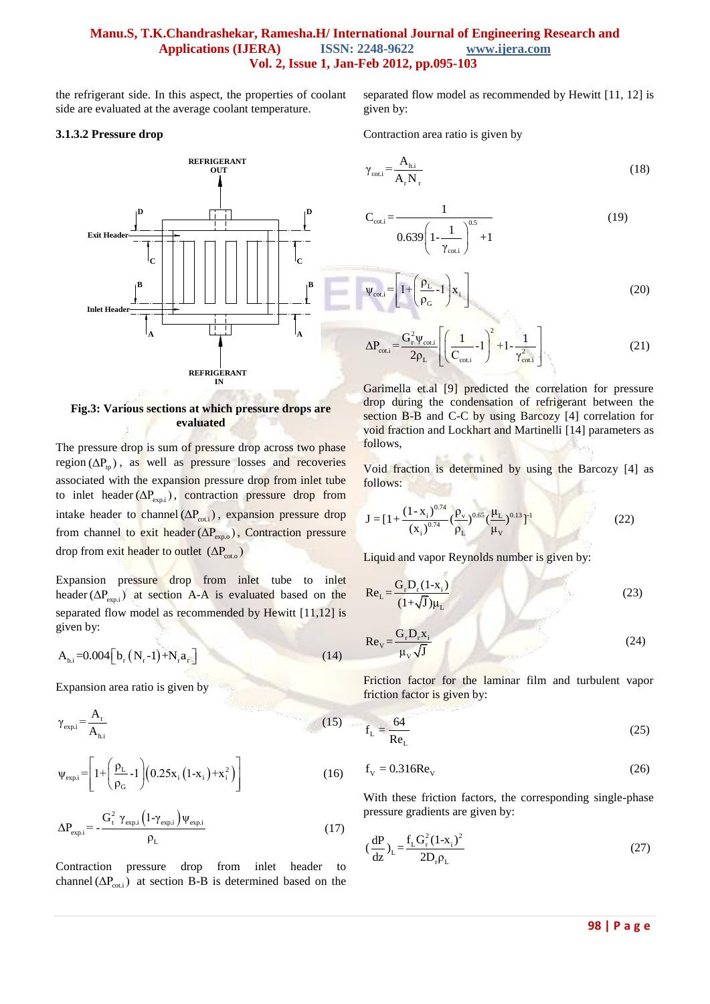the refrigerant side. In this aspect, the properties of coolant side are evaluated at the average coolant temperature.

### **3.1.3.2 Pressure drop**



### **Fig.3: Various sections at which pressure drops are evaluated**

The pressure drop is sum of pressure drop across two phase  $region (\Delta P_{tp})$ , as well as pressure losses and recoveries associated with the expansion pressure drop from inlet tube to inlet header  $(\Delta P_{\text{exp,i}})$ , contraction pressure drop from intake header to channel  $(\Delta P_{\text{cot},i})$ , expansion pressure drop from channel to exit header  $(\Delta P_{\text{exp,o}})$ , Contraction pressure drop from exit header to outlet (ΔP<sub>cot.o</sub>)

Expansion pressure drop from inlet tube to inlet header  $(\Delta P_{\text{exp,i}})$  at section A-A is evaluated based on the separated flow model as recommended by Hewitt [11,12] is given by:

$$
A_{hi} = 0.004 \left[ b_r \left( N_r - 1 \right) + N_r a_r \right] \tag{14}
$$

Expansion area ratio is given by

$$
\gamma_{\text{exp,i}} = \frac{A_t}{A_{\text{h.i}}} \tag{15}
$$

$$
\psi_{\text{exp,i}} = \left[ 1 + \left( \frac{\rho_{\text{L}}}{\rho_{\text{G}}} - 1 \right) \left( 0.25 x_{\text{i}} \left( 1 - x_{\text{i}} \right) + x_{\text{i}}^2 \right) \right]
$$
(16)

$$
\Delta P_{\text{exp,i}} = -\frac{G_t^2 \gamma_{\text{exp,i}} \left(1 - \gamma_{\text{exp,i}}\right) \psi_{\text{exp,i}}}{\rho_L} \tag{17}
$$

Contraction pressure drop from inlet header to channel  $(\Delta P_{\text{cot},i})$  at section B-B is determined based on the

separated flow model as recommended by Hewitt [11, 12] is given by:

Contraction area ratio is given by

$$
\gamma_{\text{cot,i}} = \frac{A_{\text{h.i}}}{A_{\text{r}} N_{\text{r}}} \tag{18}
$$

$$
C_{\text{cot,i}} = \frac{1}{0.639 \left(1 - \frac{1}{\gamma_{\text{cot,i}}}\right)^{0.5} + 1}
$$
(19)

$$
\psi_{\text{cot,i}} = \left[1 + \left(\frac{\rho_{\text{L}}}{\rho_{\text{G}}}-1\right)\mathbf{x}_{i}\right]
$$
 (20)

$$
\Delta P_{\text{cot,i}} = \frac{G_{\text{r}}^2 \psi_{\text{cot,i}}}{2\rho_L} \left[ \left( \frac{1}{C_{\text{cot,i}}} - 1 \right)^2 + 1 - \frac{1}{\gamma_{\text{cot,i}}^2} \right]
$$
(21)

Garimella et.al [9] predicted the correlation for pressure drop during the condensation of refrigerant between the section B-B and C-C by using Barcozy [4] correlation for void fraction and Lockhart and Martinelli [14] parameters as follows,

Void fraction is determined by using the Barcozy [4] as follows:

$$
J = [1 + \frac{(1 - x_i)^{0.74}}{(x_i)^{0.74}} (\frac{\rho_v}{\rho_L})^{0.65} (\frac{\mu_L}{\mu_v})^{0.13}]^1
$$
 (22)

Liquid and vapor Reynolds number is given by:

$$
Re_{L} = \frac{G_{r}D_{r}(1-x_{i})}{(1+\sqrt{J})\mu_{L}}
$$
\n(23)

$$
Re_{v} = \frac{G_{r} D_{r} x_{i}}{\mu_{v} \sqrt{J}}
$$
 (24)

Friction factor for the laminar film and turbulent vapor friction factor is given by:

$$
f_{L} = \frac{64}{Re_{L}}\tag{25}
$$

$$
f_{\rm V} = 0.316 \text{Re}_{\rm V} \tag{26}
$$

With these friction factors, the corresponding single-phase pressure gradients are given by:

$$
\left(\frac{dP}{dz}\right)_L = \frac{f_L G_r^2 (1 - x_i)^2}{2D_r \rho_L} \tag{27}
$$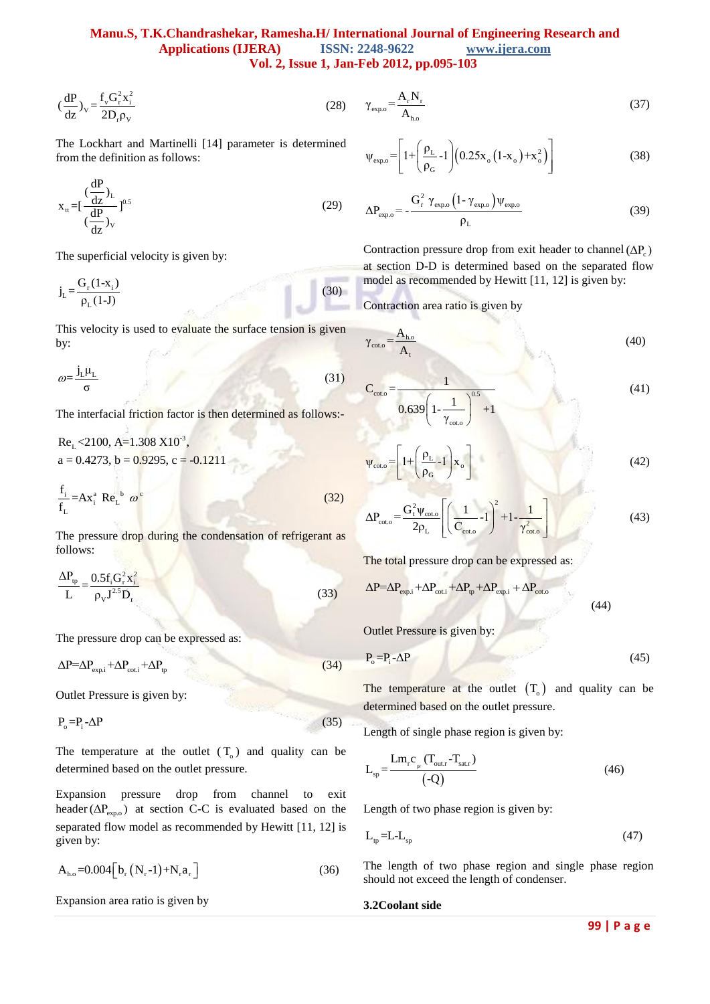$$
(\frac{dP}{dz})_v = \frac{f_v G_r^2 x_i^2}{2D_r \rho_v}
$$
 (28)

The Lockhart and Martinelli [14] parameter is determined from the definition as follows:

$$
x_{tt} = \left[\frac{\frac{dP}{dz}}{\frac{dP}{dz}}\right]_{V}^{0.5}
$$
 (29)

The superficial velocity is given by:

$$
j_{L} = \frac{G_{r}(1-x_{i})}{\rho_{L}(1-J)}
$$
(30)

This velocity is used to evaluate the surface tension is given by:

$$
\omega = \frac{j_L \mu_L}{\sigma} \tag{31}
$$

The interfacial friction factor is then determined as follows:-

$$
\left(\frac{dP}{dt}\right)_V = \frac{f_1 G_1^2 x_1^2}{4\pi^2}
$$
\n
$$
r_{R-1} = \frac{G_1^2 F_2^2}{4\pi^2}
$$
\n
$$
r_{R-2} = \frac{G_1^2 F_2^2}{4\pi^2}
$$
\n
$$
r_{R-1} = \frac{G_1^2 F_2^2}{4\pi^2}
$$
\n
$$
r_{R-2} = \frac{G_1^2 F_2^2}{4\pi^2}
$$
\n
$$
r_{R-1} = \frac{G_1^2 F_2^2}{4\pi^2}
$$
\n
$$
r_{R-1} = \frac{G_1^2 F_2^2}{4\pi^2}
$$
\n
$$
r_{R-1} = \frac{G_1^2 F_2^2}{4\pi^2}
$$
\n
$$
r_{R-1} = \frac{G_1^2 F_2^2}{4\pi^2}
$$
\n
$$
r_{R-1} = \frac{G_1^2 F_2^2}{4\pi^2}
$$
\n
$$
r_{R-1} = \frac{G_1^2 F_2^2}{4\pi^2}
$$
\n
$$
r_{R-1} = \frac{G_1^2 F_2^2}{4\pi^2}
$$
\n
$$
r_{R-1} = \frac{G_1^2 F_2^2}{4\pi^2}
$$
\n
$$
r_{R-1} = \frac{G_1^2 F_2^2}{4\pi^2}
$$
\n
$$
r_{R-1} = \frac{G_1^2 F_2^2}{4\pi^2}
$$
\n
$$
r_{R-1} = \frac{G_1 F_2^2}{4\pi^2}
$$
\n
$$
r_{R-1} = \frac{G_1 F_2^2}{4\pi^2}
$$
\n
$$
r_{R-1} = \frac{G_1 F_2^2}{4\pi^2}
$$
\n
$$
r_{R-1} = \frac{G_1 F_2^2}{4\pi^2}
$$
\n
$$
r_{R-1} = \frac{G_1 F_2^2}{4\pi^2}
$$
\n
$$
r_{R-1} = \frac{G_1 F_2^2}{4\pi^2}
$$
\n
$$
r_{R-1}
$$

The pressure drop during the condensation of refrigerant as follows:

$$
\frac{\Delta P_{\text{tp}}}{L} = \frac{0.5f_i G_r^2 x_i^2}{\rho_v J^{2.5} D_r}
$$
\n(33)

The pressure drop can be expressed as:

 $\Delta P = \Delta P_{\text{exp.i}} + \Delta P_{\text{cot.i}} + \Delta P_{\text{tp}}$ (34)

Outlet Pressure is given by:

$$
P_o = P_i - \Delta P \tag{35}
$$

The temperature at the outlet  $(T_0)$  and quality can be determined based on the outlet pressure.

Expansion pressure drop from channel to exit header ( $\Delta P_{\text{exp},o}$ ) at section C-C is evaluated based on the separated flow model as recommended by Hewitt [11, 12] is given by:

$$
A_{h.o} = 0.004 \Big[ b_r (N_r - 1) + N_r a_r \Big]
$$
 (36)

Expansion area ratio is given by

$$
\gamma_{\rm exp,o} = \frac{A_r N_r}{A_{\rm ho}}\tag{37}
$$

$$
\psi_{\exp,0} = \left[ 1 + \left( \frac{\rho_L}{\rho_G} - 1 \right) \left( 0.25 x_0 \left( 1 - x_0 \right) + x_0^2 \right) \right] \tag{38}
$$

$$
\Delta P_{\rm exp.o} = -\frac{G_{\rm r}^2 \gamma_{\rm exp.o} \left(1 - \gamma_{\rm exp.o}\right) \psi_{\rm exp.o}}{\rho_{\rm L}}
$$
(39)

Contraction pressure drop from exit header to channel  $(\Delta P_c)$ at section D-D is determined based on the separated flow model as recommended by Hewitt [11, 12] is given by:

Contraction area ratio is given by

$$
\gamma_{\rm coto} = \frac{A_{\rm ho}}{A_{\rm t}}\tag{40}
$$

$$
C_{\text{coto}} = \frac{1}{0.639 \left(1 - \frac{1}{\gamma_{\text{coto}}}\right)^{0.5} + 1}
$$
(41)

$$
\Psi_{\text{coto}} = \left[1 + \left(\frac{\rho_{\text{L}}}{\rho_{\text{G}}}\right)\mathbf{X}_{\text{o}}\right]
$$
(42)

$$
\Delta P_{\text{coto}} = \frac{G_{t}^{2} \psi_{\text{coto}}}{2 \rho_{L}} \left[ \left( \frac{1}{C_{\text{coto}}} - 1 \right)^{2} + 1 - \frac{1}{\gamma_{\text{coto}}^{2}} \right]
$$
(43)

The total pressure drop can be expressed as:

$$
\Delta P = \Delta P_{\text{expi}} + \Delta P_{\text{cot,i}} + \Delta P_{\text{tp}} + \Delta P_{\text{expi,i}} + \Delta P_{\text{cot,o}}
$$
\n(44)

Outlet Pressure is given by:

$$
P_o = P_i - \Delta P \tag{45}
$$

The temperature at the outlet  $(T_0)$  and quality can be determined based on the outlet pressure.

Length of single phase region is given by:

$$
L_{sp} = \frac{L m_r c_{pr} (T_{out.r} - T_{sat.r})}{(-Q)}
$$
(46)

Length of two phase region is given by:

$$
L_{tp} = L - L_{sp} \tag{47}
$$

The length of two phase region and single phase region should not exceed the length of condenser.

### **3.2Coolant side**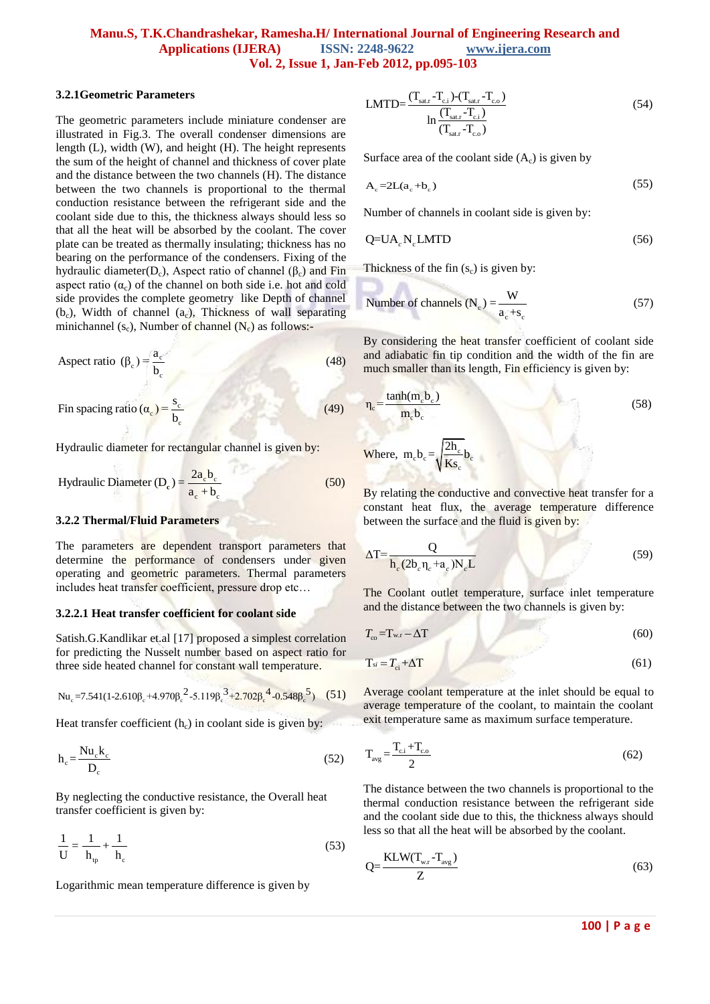#### **3.2.1Geometric Parameters**

The geometric parameters include miniature condenser are illustrated in Fig.3. The overall condenser dimensions are length (L), width (W), and height (H). The height represents the sum of the height of channel and thickness of cover plate and the distance between the two channels (H). The distance between the two channels is proportional to the thermal conduction resistance between the refrigerant side and the coolant side due to this, the thickness always should less so that all the heat will be absorbed by the coolant. The cover plate can be treated as thermally insulating; thickness has no bearing on the performance of the condensers. Fixing of the hydraulic diameter( $D_c$ ), Aspect ratio of channel ( $β_c$ ) and Fin aspect ratio  $(\alpha_c)$  of the channel on both side i.e. hot and cold side provides the complete geometry like Depth of channel  $(b_c)$ , Width of channel  $(a_c)$ , Thickness of wall separating minichannel  $(s_c)$ , Number of channel  $(N_c)$  as follows:-

$$
A \text{spect ratio } (\beta_c) = \frac{a_c}{b_c} \tag{48}
$$

$$
\text{Fin spacing ratio} \left( \alpha_{\text{c}} \right) = \frac{\text{s}_{\text{c}}}{\text{b}_{\text{c}}} \tag{49}
$$

Hydraulic diameter for rectangular channel is given by:

c

Hydraulic Diameter 
$$
(D_e) = \frac{2a_e b_c}{a_e + b_e}
$$
 (50)

#### **3.2.2 Thermal/Fluid Parameters**

The parameters are dependent transport parameters that determine the performance of condensers under given operating and geometric parameters. Thermal parameters includes heat transfer coefficient, pressure drop etc…

### **3.2.2.1 Heat transfer coefficient for coolant side**

Satish.G.Kandlikar et.al [17] proposed a simplest correlation for predicting the Nusselt number based on aspect ratio for

three side heated channel for constant wall temperature.  
\n
$$
Nu_e = 7.541(1-2.610\beta_e + 4.970\beta_e^2 - 5.119\beta_e^3 + 2.702\beta_e^4 - 0.548\beta_e^5)
$$
 (51)

Heat transfer coefficient  $(h_c)$  in coolant side is given by:

$$
h_c = \frac{Nu_c k_c}{D_c}
$$
 (52)

By neglecting the conductive resistance, the Overall heat transfer coefficient is given by:

$$
\frac{1}{U} = \frac{1}{h_{\text{tp}}} + \frac{1}{h_{\text{c}}}
$$
(53)

Logarithmic mean temperature difference is given by

$$
LMTD = \frac{(T_{\text{sat,r}} - T_{\text{c,i}}) - (T_{\text{sat,r}} - T_{\text{c,o}})}{\ln \frac{(T_{\text{sat,r}} - T_{\text{c,i}})}{(T_{\text{sat,r}} - T_{\text{c,o}})}}
$$
(54)

Surface area of the coolant side  $(A_c)$  is given by

$$
A_c = 2L(a_c + b_c) \tag{55}
$$

Number of channels in coolant side is given by:

$$
Q=UA_c N_c LMTD \t\t(56)
$$

Thickness of the fin  $(s_c)$  is given by:

**COM** 

Number of channels (N<sub>c</sub>) = 
$$
\frac{W}{a_c + s_c}
$$
 (57)

By considering the heat transfer coefficient of coolant side and adiabatic fin tip condition and the width of the fin are much smaller than its length, Fin efficiency is given by:

$$
\eta_{\rm e} = \frac{\tanh(m_{\rm e}b_{\rm e})}{m_{\rm e}b_{\rm e}}\tag{58}
$$

Where, m<sub>c</sub>b<sub>c</sub> = 
$$
\sqrt{\frac{2h_c}{Ks_c}}b_c
$$

By relating the conductive and convective heat transfer for a constant heat flux, the average temperature difference between the surface and the fluid is given by:

$$
\Delta T = \frac{Q}{h_c (2b_c \eta_c + a_c) N_c L}
$$
\n(59)

The Coolant outlet temperature, surface inlet temperature and the distance between the two channels is given by:

$$
T_{\rm co} = T_{\rm w.r} - \Delta T \tag{60}
$$

$$
T_{si} = T_{ci} + \Delta T \tag{61}
$$

Average coolant temperature at the inlet should be equal to average temperature of the coolant, to maintain the coolant exit temperature same as maximum surface temperature.

$$
T_{avg} = \frac{T_{c,i} + T_{c,o}}{2}
$$
\n
$$
(62)
$$

The distance between the two channels is proportional to the thermal conduction resistance between the refrigerant side and the coolant side due to this, the thickness always should less so that all the heat will be absorbed by the coolant.

$$
Q = \frac{KLW(T_{w.r} - T_{avg})}{Z}
$$
\n(63)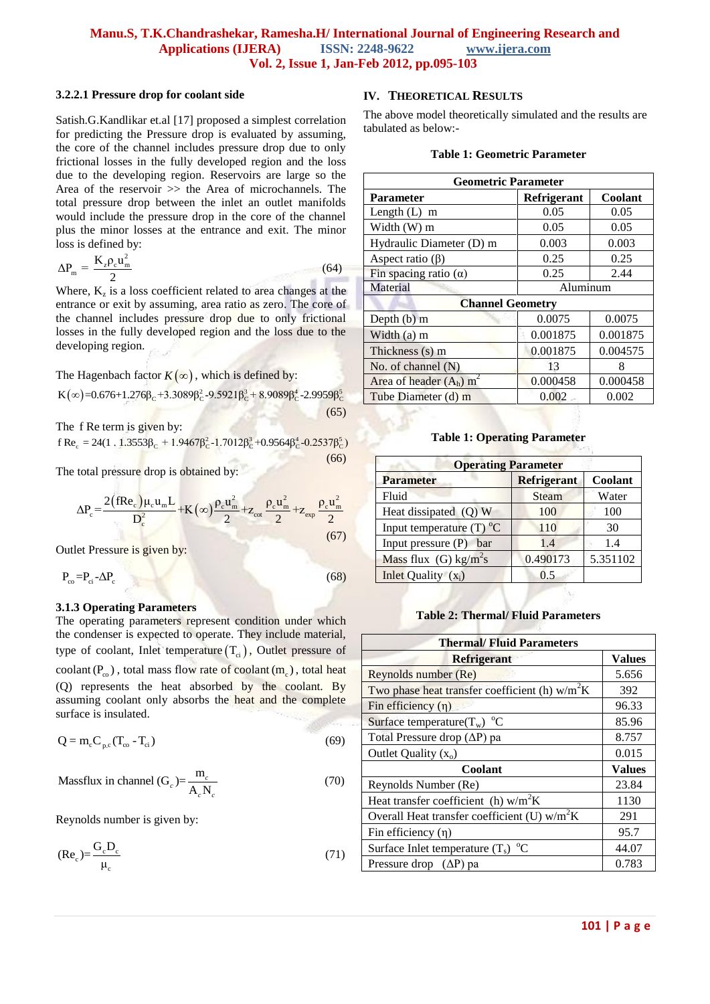### **3.2.2.1 Pressure drop for coolant side**

Satish.G.Kandlikar et.al [17] proposed a simplest correlation for predicting the Pressure drop is evaluated by assuming, the core of the channel includes pressure drop due to only frictional losses in the fully developed region and the loss due to the developing region. Reservoirs are large so the Area of the reservoir >> the Area of microchannels. The total pressure drop between the inlet an outlet manifolds would include the pressure drop in the core of the channel plus the minor losses at the entrance and exit. The minor loss is defined by:

$$
\Delta P_{\rm m} = \frac{K_z \rho_{\rm c} u_{\rm m}^2}{2} \tag{64}
$$

Where,  $K_z$  is a loss coefficient related to area changes at the entrance or exit by assuming, area ratio as zero. The core of the channel includes pressure drop due to only frictional losses in the fully developed region and the loss due to the developing region.

The Hagenbach factor 
$$
K(\infty)
$$
, which is defined by:  
\n $K(\infty)=0.676+1.276\beta_c+3.3089\beta_c^2-9.5921\beta_c^3+8.9089\beta_c^4-2.9959\beta_c^5$ \n(65)

The f Re term is given by:

The f Re term is given by:  
\nf Re<sub>c</sub> = 24(1 . 1.3553
$$
\beta_c
$$
 + 1.9467 $\beta_c$ <sup>2</sup>-1.7012 $\beta_c$ <sup>3</sup>+0.9564 $\beta_c$ <sup>4</sup>-0.2537 $\beta_c$ <sup>5</sup>) (66)

The total pressure drop is obtained by:

$$
\Delta P_c = \frac{2(fRe_c)\mu_c u_m L}{D_c^2} + K(\infty)\frac{\rho_c u_m^2}{2} + z_{\text{cot}} \frac{\rho_c u_m^2}{2} + z_{\text{exp}} \frac{\rho_c u_m^2}{2}
$$
(67)

Outlet Pressure is given by:

$$
P_{co} = P_{ci} - \Delta P_c \tag{68}
$$

# **3.1.3 Operating Parameters**

The operating parameters represent condition under which the condenser is expected to operate. They include material, type of coolant, Inlet temperature  $(T_{ci})$ , Outlet pressure of  $\text{codant}(P_{\text{co}})$ , total mass flow rate of  $\text{codant}(m_{\text{c}})$ , total heat (Q) represents the heat absorbed by the coolant. By assuming coolant only absorbs the heat and the complete surface is insulated.

$$
Q = mc Cp.c (Tco - Tci)
$$
\n(69)

Massflux in channel (G<sub>c</sub>)=
$$
\frac{m_c}{A_c N_c}
$$
 (70)

Reynolds number is given by:

$$
(\text{Re}_c) = \frac{G_c D_c}{\mu_c} \tag{71}
$$

# **IV. THEORETICAL RESULTS**

The above model theoretically simulated and the results are tabulated as below:-

## **Table 1: Geometric Parameter**

| <b>Geometric Parameter</b>            |             |          |
|---------------------------------------|-------------|----------|
| <b>Parameter</b>                      | Refrigerant | Coolant  |
| Length $(L)$ m                        | 0.05        | 0.05     |
| Width (W) m                           | 0.05        | 0.05     |
| Hydraulic Diameter (D) m              | 0.003       | 0.003    |
| Aspect ratio $(\beta)$                | 0.25        | 0.25     |
| Fin spacing ratio $(\alpha)$          | 0.25        | 2.44     |
| Material                              | Aluminum    |          |
| <b>Channel Geometry</b>               |             |          |
| Depth $(b)$ m                         | 0.0075      | 0.0075   |
| Width $(a)$ m                         | 0.001875    | 0.001875 |
| Thickness (s) m                       | 0.001875    | 0.004575 |
| No. of channel $(N)$                  | 13          | 8        |
| Area of header $(A_h)$ m <sup>2</sup> | 0.000458    | 0.000458 |
| Tube Diameter (d) m                   | 0.002       | 0.002    |

### **Table 1: Operating Parameter**

| <b>Operating Parameter</b>          |                    |          |
|-------------------------------------|--------------------|----------|
| <b>Parameter</b>                    | <b>Refrigerant</b> | Coolant  |
| Fluid                               | Steam              | Water    |
| Heat dissipated (Q) W               | 100                | 100      |
| Input temperature $(T)$ °C          | 110                | 30       |
| Input pressure (P)<br>bar           | 1.4                | 1.4      |
| Mass flux $(G)$ kg/m <sup>2</sup> s | 0.490173           | 5.351102 |
| Inlet Quality $(x_i)$               | 0.5                |          |

### **Table 2: Thermal/ Fluid Parameters**

| <b>Thermal/Fluid Parameters</b>                  |               |
|--------------------------------------------------|---------------|
| <b>Refrigerant</b>                               | <b>Values</b> |
| Reynolds number (Re)                             | 5.656         |
| Two phase heat transfer coefficient (h) $w/m^2K$ | 392           |
| Fin efficiency $(\eta)$                          | 96.33         |
| Surface temperature( $T_w$ ) °C                  | 85.96         |
| Total Pressure drop $(\Delta P)$ pa              | 8.757         |
| Outlet Quality $(x_0)$                           | 0.015         |
| Coolant                                          | <b>Values</b> |
| Reynolds Number (Re)                             | 23.84         |
| Heat transfer coefficient (h) $w/m^2K$           | 1130          |
| Overall Heat transfer coefficient (U) $w/m^2K$   | 291           |
| Fin efficiency $(\eta)$                          | 95.7          |
| Surface Inlet temperature $(T_s)$ °C             | 44.07         |
| Pressure drop $(\Delta P)$ pa                    | 0.783         |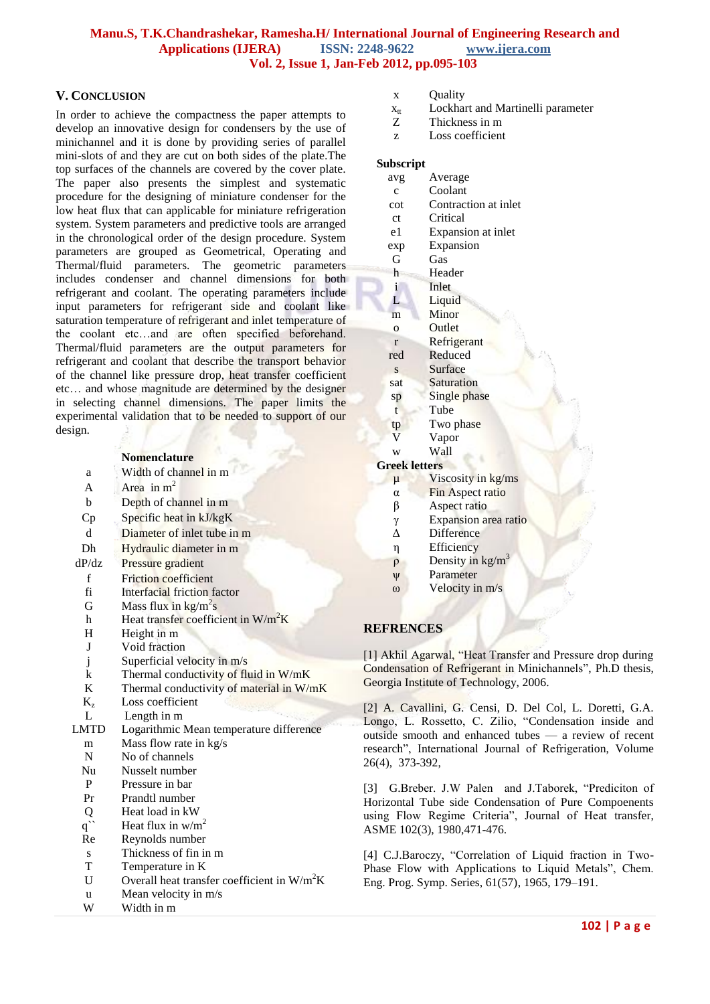# **V. CONCLUSION**

In order to achieve the compactness the paper attempts to develop an innovative design for condensers by the use of minichannel and it is done by providing series of parallel mini-slots of and they are cut on both sides of the plate.The top surfaces of the channels are covered by the cover plate. The paper also presents the simplest and systematic procedure for the designing of miniature condenser for the low heat flux that can applicable for miniature refrigeration system. System parameters and predictive tools are arranged in the chronological order of the design procedure. System parameters are grouped as Geometrical, Operating and Thermal/fluid parameters. The geometric parameters includes condenser and channel dimensions for both refrigerant and coolant. The operating parameters include input parameters for refrigerant side and coolant like saturation temperature of refrigerant and inlet temperature of the coolant etc…and are often specified beforehand. Thermal/fluid parameters are the output parameters for refrigerant and coolant that describe the transport behavior of the channel like pressure drop, heat transfer coefficient etc… and whose magnitude are determined by the designer in selecting channel dimensions. The paper limits the experimental validation that to be needed to support of our design.

# **Nomenclature**

|                    | rviliciitiatul c                              |
|--------------------|-----------------------------------------------|
| a                  | Width of channel in m                         |
| A                  | Area in $m2$                                  |
| b                  | Depth of channel in m                         |
| Cp                 | Specific heat in kJ/kgK                       |
| d                  | Diameter of inlet tube in m                   |
| Dh                 | Hydraulic diameter in m                       |
| dP/dz              | Pressure gradient                             |
| $\mathbf f$        | <b>Friction</b> coefficient                   |
| fi                 | Interfacial friction factor                   |
| G                  | Mass flux in $\text{kg/m}^2\text{s}$          |
| h                  | Heat transfer coefficient in $W/m^2K$         |
| H                  | Height in m                                   |
| J                  | Void fraction                                 |
| j                  | Superficial velocity in m/s                   |
| $\bf k$            | Thermal conductivity of fluid in W/mK         |
| K                  | Thermal conductivity of material in W/mK      |
| $K_{z}$            | Loss coefficient                              |
| L                  | Length in m                                   |
| LMTD               | Logarithmic Mean temperature difference       |
| m                  | Mass flow rate in kg/s                        |
| N                  | No of channels                                |
| Nu                 | Nusselt number                                |
| P                  | Pressure in bar                               |
| Pr                 | Prandtl number                                |
| Q                  | Heat load in kW                               |
| $q^{\prime\prime}$ | Heat flux in $w/m^2$                          |
| Re                 | Reynolds number                               |
| S                  | Thickness of fin in m                         |
| T                  | Temperature in K                              |
| U                  | Overall heat transfer coefficient in $W/m^2K$ |
| u                  | Mean velocity in m/s                          |
| W                  | Width in m                                    |

- x Quality
- $x<sub>tt</sub>$  Lockhart and Martinelli parameter<br>Z Thickness in m
- Thickness in m
- z Loss coefficient

### **Subscript**

- avg Average
- c Coolant
- cot Contraction at inlet
- ct Critical
- e1 Expansion at inlet exp Expansion
- 
- G Gas
- h Header
- i Inlet
- L Liquid
- m Minor
- o Outlet
- r Refrigerant
- red Reduced
- s Surface sat Saturation
- sp Single phase
- t Tube
- tp Two phase
- V Vapor
- w Wall

### **Greek letters**

- $\mu$  Viscosity in kg/ms
- α Fin Aspect ratio
- β Aspect ratio
- γ Expansion area ratio
- Δ Difference
- η Efficiency
- $ρ$  Density in kg/m<sup>3</sup>
- ψ Parameter
- ω Velocity in m/s

# **REFRENCES**

[1] Akhil Agarwal, "Heat Transfer and Pressure drop during Condensation of Refrigerant in Minichannels", Ph.D thesis, Georgia Institute of Technology, 2006.

[2] A. Cavallini, G. Censi, D. Del Col, L. Doretti, G.A. Longo, L. Rossetto, C. Zilio, "Condensation inside and [outside smooth and enhanced tubes —](http://www.sciencedirect.com/science/article/pii/S0140700702001500?_alid=1843729524&_rdoc=1&_fmt=high&_origin=search&_docanchor=&_ct=90&_zone=rslt_list_item&md5=9ff76c5e03d34f9964cec010aab4aa6d) a review of recent research", International Journal of Refrigeration, Volume 26(4), 373-392,

[3] G.Breber. J.W Palen and J.Taborek, "Prediciton of Horizontal Tube side Condensation of Pure Compoenents using Flow Regime Criteria", Journal of Heat transfer, ASME 102(3), 1980,471-476.

[4] C.J.Baroczy, "Correlation of Liquid fraction in Two-Phase Flow with Applications to Liquid Metals", Chem. Eng. Prog. Symp. Series, 61(57), 1965, 179–191.